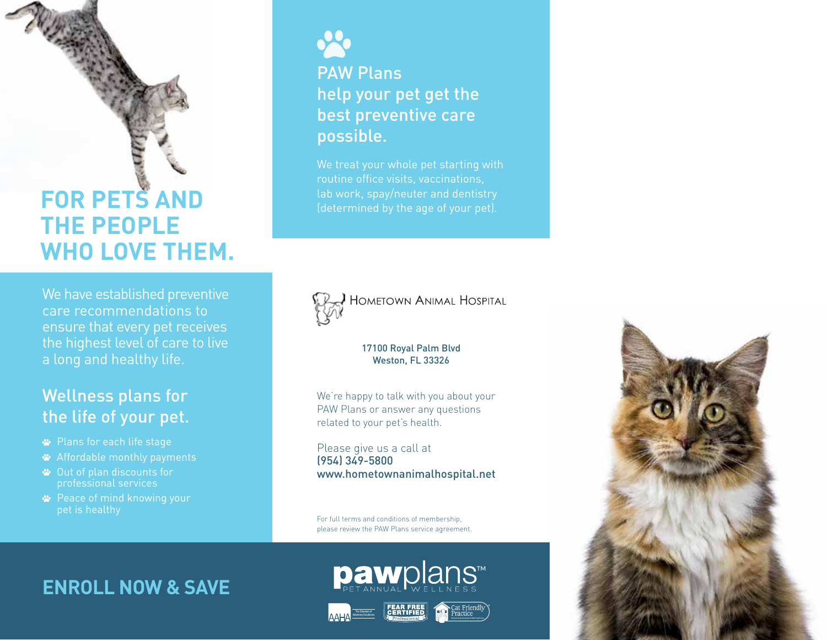# **FOR PETS AND THE PEOPLE WHO LOVE THEM.**

We have established preventive care recommendations to ensure that every pet receives the highest level of care to live a long and healthy life.

### Wellness plans for the life of your pet.

- Plans for each life stage
- Affordable monthly payments
- Out of plan discounts for professional services
- **<sup>■</sup>** Peace of mind knowing your pet is healthy



PAW Plans help your pet get the best preventive care possible.

We treat your whole pet starting with routine office visits, vaccinations,



**HOMETOWN ANIMAL HOSPITAL** 

### 17100 Royal Palm Blvd Weston, FL 33326

We're happy to talk with you about your PAW Plans or answer any questions related to your pet's health.

Please give us a call at (954) 349-5800 www.hometownanimalhospital.net

For full terms and conditions of membership, please review the PAW Plans service agreement.

## **ENROLL NOW & SAVE**



**paw**plans™